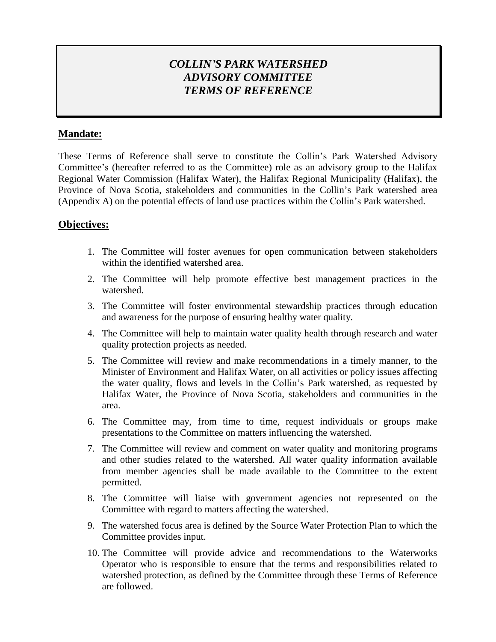# *COLLIN'S PARK WATERSHED ADVISORY COMMITTEE TERMS OF REFERENCE*

## **Mandate:**

These Terms of Reference shall serve to constitute the Collin's Park Watershed Advisory Committee's (hereafter referred to as the Committee) role as an advisory group to the Halifax Regional Water Commission (Halifax Water), the Halifax Regional Municipality (Halifax), the Province of Nova Scotia, stakeholders and communities in the Collin's Park watershed area (Appendix A) on the potential effects of land use practices within the Collin's Park watershed.

### **Objectives:**

- 1. The Committee will foster avenues for open communication between stakeholders within the identified watershed area.
- 2. The Committee will help promote effective best management practices in the watershed.
- 3. The Committee will foster environmental stewardship practices through education and awareness for the purpose of ensuring healthy water quality.
- 4. The Committee will help to maintain water quality health through research and water quality protection projects as needed.
- 5. The Committee will review and make recommendations in a timely manner, to the Minister of Environment and Halifax Water, on all activities or policy issues affecting the water quality, flows and levels in the Collin's Park watershed, as requested by Halifax Water, the Province of Nova Scotia, stakeholders and communities in the area.
- 6. The Committee may, from time to time, request individuals or groups make presentations to the Committee on matters influencing the watershed.
- 7. The Committee will review and comment on water quality and monitoring programs and other studies related to the watershed. All water quality information available from member agencies shall be made available to the Committee to the extent permitted.
- 8. The Committee will liaise with government agencies not represented on the Committee with regard to matters affecting the watershed.
- 9. The watershed focus area is defined by the Source Water Protection Plan to which the Committee provides input.
- 10. The Committee will provide advice and recommendations to the Waterworks Operator who is responsible to ensure that the terms and responsibilities related to watershed protection, as defined by the Committee through these Terms of Reference are followed.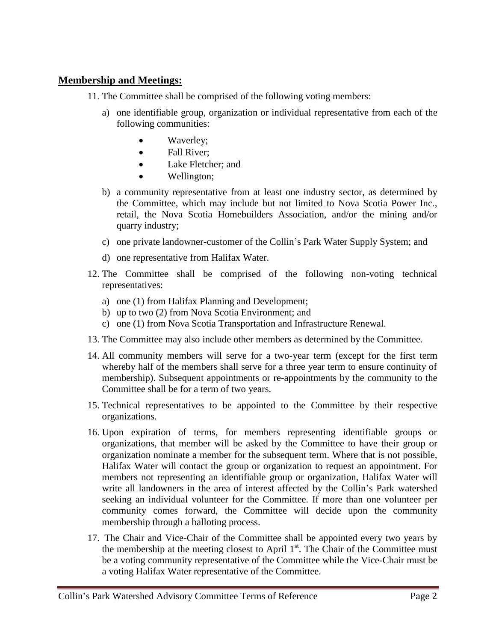#### **Membership and Meetings:**

- 11. The Committee shall be comprised of the following voting members:
	- a) one identifiable group, organization or individual representative from each of the following communities:
		- Waverley;
		- Fall River:
		- Lake Fletcher; and
		- Wellington;
	- b) a community representative from at least one industry sector, as determined by the Committee, which may include but not limited to Nova Scotia Power Inc., retail, the Nova Scotia Homebuilders Association, and/or the mining and/or quarry industry;
	- c) one private landowner-customer of the Collin's Park Water Supply System; and
	- d) one representative from Halifax Water.
- 12. The Committee shall be comprised of the following non-voting technical representatives:
	- a) one (1) from Halifax Planning and Development;
	- b) up to two (2) from Nova Scotia Environment; and
	- c) one (1) from Nova Scotia Transportation and Infrastructure Renewal.
- 13. The Committee may also include other members as determined by the Committee.
- 14. All community members will serve for a two-year term (except for the first term whereby half of the members shall serve for a three year term to ensure continuity of membership). Subsequent appointments or re-appointments by the community to the Committee shall be for a term of two years.
- 15. Technical representatives to be appointed to the Committee by their respective organizations.
- 16. Upon expiration of terms, for members representing identifiable groups or organizations, that member will be asked by the Committee to have their group or organization nominate a member for the subsequent term. Where that is not possible, Halifax Water will contact the group or organization to request an appointment. For members not representing an identifiable group or organization, Halifax Water will write all landowners in the area of interest affected by the Collin's Park watershed seeking an individual volunteer for the Committee. If more than one volunteer per community comes forward, the Committee will decide upon the community membership through a balloting process.
- 17. The Chair and Vice-Chair of the Committee shall be appointed every two years by the membership at the meeting closest to April  $1<sup>st</sup>$ . The Chair of the Committee must be a voting community representative of the Committee while the Vice-Chair must be a voting Halifax Water representative of the Committee.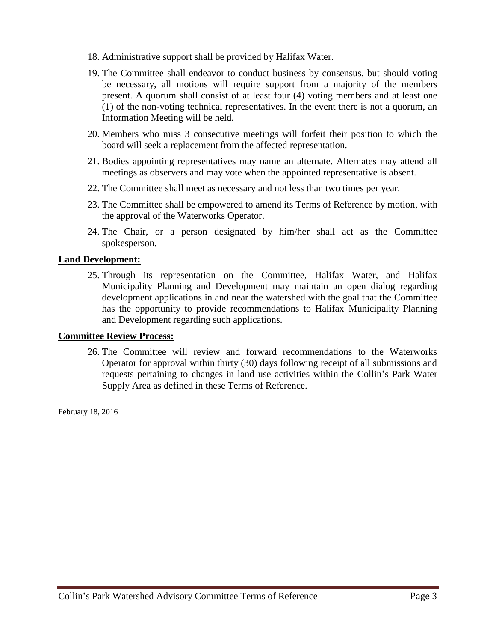- 18. Administrative support shall be provided by Halifax Water.
- 19. The Committee shall endeavor to conduct business by consensus, but should voting be necessary, all motions will require support from a majority of the members present. A quorum shall consist of at least four (4) voting members and at least one (1) of the non-voting technical representatives. In the event there is not a quorum, an Information Meeting will be held.
- 20. Members who miss 3 consecutive meetings will forfeit their position to which the board will seek a replacement from the affected representation.
- 21. Bodies appointing representatives may name an alternate. Alternates may attend all meetings as observers and may vote when the appointed representative is absent.
- 22. The Committee shall meet as necessary and not less than two times per year.
- 23. The Committee shall be empowered to amend its Terms of Reference by motion, with the approval of the Waterworks Operator.
- 24. The Chair, or a person designated by him/her shall act as the Committee spokesperson.

#### **Land Development:**

25. Through its representation on the Committee, Halifax Water, and Halifax Municipality Planning and Development may maintain an open dialog regarding development applications in and near the watershed with the goal that the Committee has the opportunity to provide recommendations to Halifax Municipality Planning and Development regarding such applications.

#### **Committee Review Process:**

26. The Committee will review and forward recommendations to the Waterworks Operator for approval within thirty (30) days following receipt of all submissions and requests pertaining to changes in land use activities within the Collin's Park Water Supply Area as defined in these Terms of Reference.

February 18, 2016